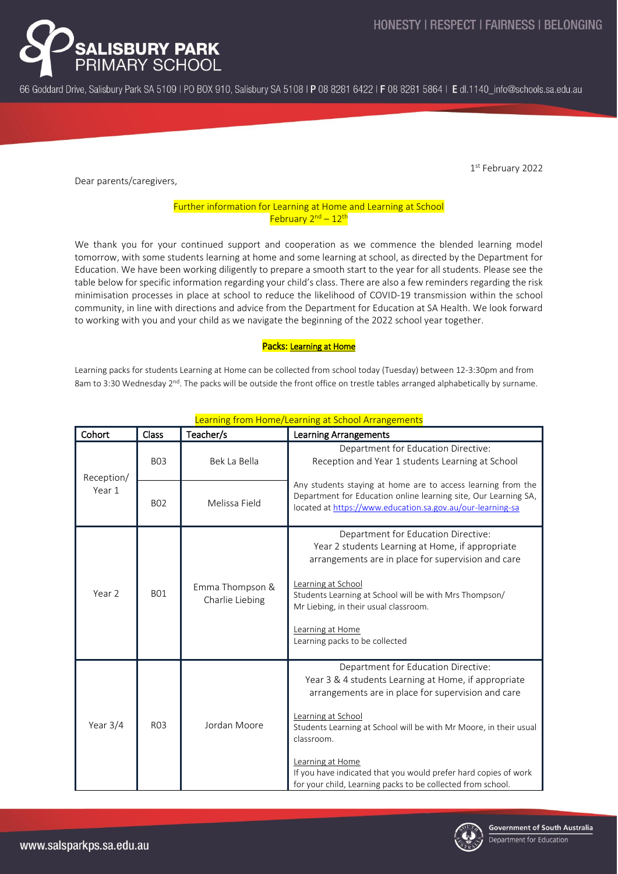

66 Goddard Drive, Salisbury Park SA 5109 | PO BOX 910, Salisbury SA 5108 | P 08 8281 6422 | F 08 8281 5864 | E dl.1140 info@schools.sa.edu.au

1 st February 2022

Dear parents/caregivers,

### Further information for Learning at Home and Learning at School February 2<sup>nd</sup> - 12<sup>th</sup>

We thank you for your continued support and cooperation as we commence the blended learning model tomorrow, with some students learning at home and some learning at school, as directed by the Department for Education. We have been working diligently to prepare a smooth start to the year for all students. Please see the table below for specific information regarding your child's class. There are also a few reminders regarding the risk minimisation processes in place at school to reduce the likelihood of COVID-19 transmission within the school community, in line with directions and advice from the Department for Education at SA Health. We look forward to working with you and your child as we navigate the beginning of the 2022 school year together.

### Packs: Learning at Home

Learning packs for students Learning at Home can be collected from school today (Tuesday) between 12-3:30pm and from 8am to 3:30 Wednesday 2<sup>nd</sup>. The packs will be outside the front office on trestle tables arranged alphabetically by surname.

| Cohort               | <b>Class</b>     | Teacher/s                          | <b>Learning Arrangements</b>                                                                                                                                                                                                                                                                                                                                                                                     |
|----------------------|------------------|------------------------------------|------------------------------------------------------------------------------------------------------------------------------------------------------------------------------------------------------------------------------------------------------------------------------------------------------------------------------------------------------------------------------------------------------------------|
| Reception/<br>Year 1 | <b>BO3</b>       | Bek La Bella                       | Department for Education Directive:<br>Reception and Year 1 students Learning at School                                                                                                                                                                                                                                                                                                                          |
|                      | <b>BO2</b>       | Melissa Field                      | Any students staying at home are to access learning from the<br>Department for Education online learning site, Our Learning SA,<br>located at https://www.education.sa.gov.au/our-learning-sa                                                                                                                                                                                                                    |
| Year 2               | <b>BO1</b>       | Emma Thompson &<br>Charlie Liebing | Department for Education Directive:<br>Year 2 students Learning at Home, if appropriate<br>arrangements are in place for supervision and care<br>Learning at School<br>Students Learning at School will be with Mrs Thompson/<br>Mr Liebing, in their usual classroom.<br>Learning at Home<br>Learning packs to be collected                                                                                     |
| Year $3/4$           | R <sub>0</sub> 3 | Jordan Moore                       | Department for Education Directive:<br>Year 3 & 4 students Learning at Home, if appropriate<br>arrangements are in place for supervision and care<br>Learning at School<br>Students Learning at School will be with Mr Moore, in their usual<br>classroom.<br>Learning at Home<br>If you have indicated that you would prefer hard copies of work<br>for your child, Learning packs to be collected from school. |

# Learning from Home/Learning at School Arrangements

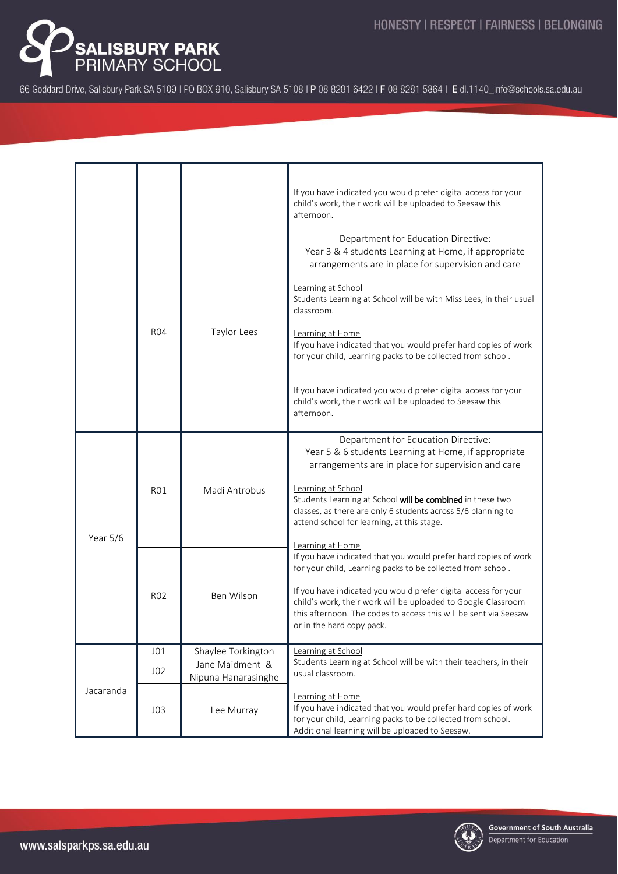

66 Goddard Drive, Salisbury Park SA 5109 | PO BOX 910, Salisbury SA 5108 | P 08 8281 6422 | F 08 8281 5864 | E dl.1140\_info@schools.sa.edu.au

|           |                 |                                        | If you have indicated you would prefer digital access for your<br>child's work, their work will be uploaded to Seesaw this<br>afternoon.                                                                                                                                                                                                                                                                          |
|-----------|-----------------|----------------------------------------|-------------------------------------------------------------------------------------------------------------------------------------------------------------------------------------------------------------------------------------------------------------------------------------------------------------------------------------------------------------------------------------------------------------------|
|           | <b>R04</b>      | Taylor Lees                            | Department for Education Directive:<br>Year 3 & 4 students Learning at Home, if appropriate<br>arrangements are in place for supervision and care<br>Learning at School<br>Students Learning at School will be with Miss Lees, in their usual<br>classroom.<br>Learning at Home<br>If you have indicated that you would prefer hard copies of work<br>for your child, Learning packs to be collected from school. |
|           |                 |                                        | If you have indicated you would prefer digital access for your<br>child's work, their work will be uploaded to Seesaw this<br>afternoon.                                                                                                                                                                                                                                                                          |
| Year 5/6  | <b>RO1</b>      | Madi Antrobus                          | Department for Education Directive:<br>Year 5 & 6 students Learning at Home, if appropriate<br>arrangements are in place for supervision and care                                                                                                                                                                                                                                                                 |
|           |                 |                                        | Learning at School<br>Students Learning at School will be combined in these two<br>classes, as there are only 6 students across 5/6 planning to<br>attend school for learning, at this stage.                                                                                                                                                                                                                     |
|           | <b>RO2</b>      | Ben Wilson                             | Learning at Home<br>If you have indicated that you would prefer hard copies of work<br>for your child, Learning packs to be collected from school.                                                                                                                                                                                                                                                                |
|           |                 |                                        | If you have indicated you would prefer digital access for your<br>child's work, their work will be uploaded to Google Classroom<br>this afternoon. The codes to access this will be sent via Seesaw<br>or in the hard copy pack.                                                                                                                                                                                  |
| Jacaranda | J01             | Shaylee Torkington                     | Learning at School                                                                                                                                                                                                                                                                                                                                                                                                |
|           | J <sub>02</sub> | Jane Maidment &<br>Nipuna Hanarasinghe | Students Learning at School will be with their teachers, in their<br>usual classroom.                                                                                                                                                                                                                                                                                                                             |
|           | J <sub>03</sub> | Lee Murray                             | Learning at Home<br>If you have indicated that you would prefer hard copies of work<br>for your child, Learning packs to be collected from school.<br>Additional learning will be uploaded to Seesaw.                                                                                                                                                                                                             |